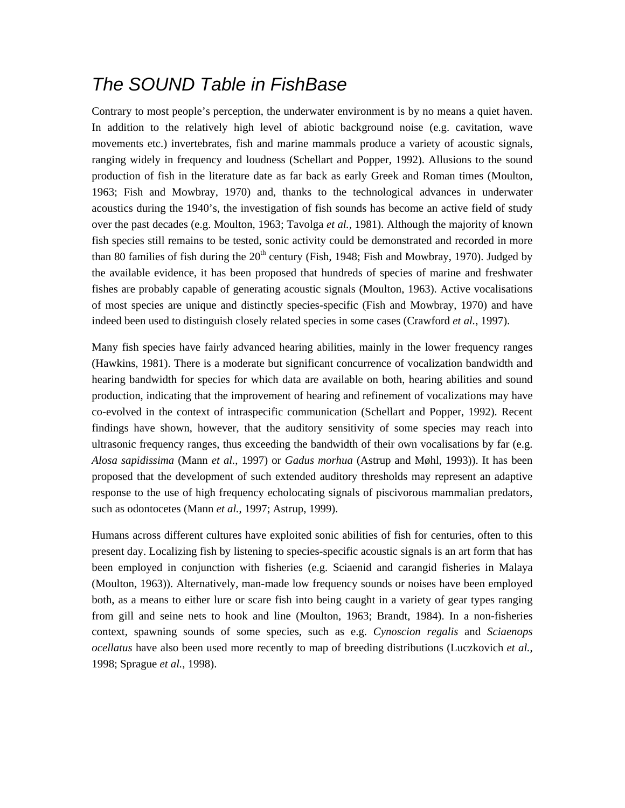# *The SOUND Table in FishBase*

Contrary to most people's perception, the underwater environment is by no means a quiet haven. In addition to the relatively high level of abiotic background noise (e.g. cavitation, wave movements etc.) invertebrates, fish and marine mammals produce a variety of acoustic signals, ranging widely in frequency and loudness (Schellart and Popper, 1992). Allusions to the sound production of fish in the literature date as far back as early Greek and Roman times (Moulton, 1963; Fish and Mowbray, 1970) and, thanks to the technological advances in underwater acoustics during the 1940's, the investigation of fish sounds has become an active field of study over the past decades (e.g. Moulton, 1963; Tavolga *et al.*, 1981). Although the majority of known fish species still remains to be tested, sonic activity could be demonstrated and recorded in more than 80 families of fish during the  $20<sup>th</sup>$  century (Fish, 1948; Fish and Mowbray, 1970). Judged by the available evidence, it has been proposed that hundreds of species of marine and freshwater fishes are probably capable of generating acoustic signals (Moulton, 1963). Active vocalisations of most species are unique and distinctly species-specific (Fish and Mowbray, 1970) and have indeed been used to distinguish closely related species in some cases (Crawford *et al.*, 1997).

Many fish species have fairly advanced hearing abilities, mainly in the lower frequency ranges (Hawkins, 1981). There is a moderate but significant concurrence of vocalization bandwidth and hearing bandwidth for species for which data are available on both, hearing abilities and sound production, indicating that the improvement of hearing and refinement of vocalizations may have co-evolved in the context of intraspecific communication (Schellart and Popper, 1992). Recent findings have shown, however, that the auditory sensitivity of some species may reach into ultrasonic frequency ranges, thus exceeding the bandwidth of their own vocalisations by far (e.g. *Alosa sapidissima* (Mann *et al.*, 1997) or *Gadus morhua* (Astrup and Møhl, 1993)). It has been proposed that the development of such extended auditory thresholds may represent an adaptive response to the use of high frequency echolocating signals of piscivorous mammalian predators, such as odontocetes (Mann *et al.*, 1997; Astrup, 1999).

Humans across different cultures have exploited sonic abilities of fish for centuries, often to this present day. Localizing fish by listening to species-specific acoustic signals is an art form that has been employed in conjunction with fisheries (e.g. Sciaenid and carangid fisheries in Malaya (Moulton, 1963)). Alternatively, man-made low frequency sounds or noises have been employed both, as a means to either lure or scare fish into being caught in a variety of gear types ranging from gill and seine nets to hook and line (Moulton, 1963; Brandt, 1984). In a non-fisheries context, spawning sounds of some species, such as e.g. *Cynoscion regalis* and *Sciaenops ocellatus* have also been used more recently to map of breeding distributions (Luczkovich *et al.*, 1998; Sprague *et al.*, 1998).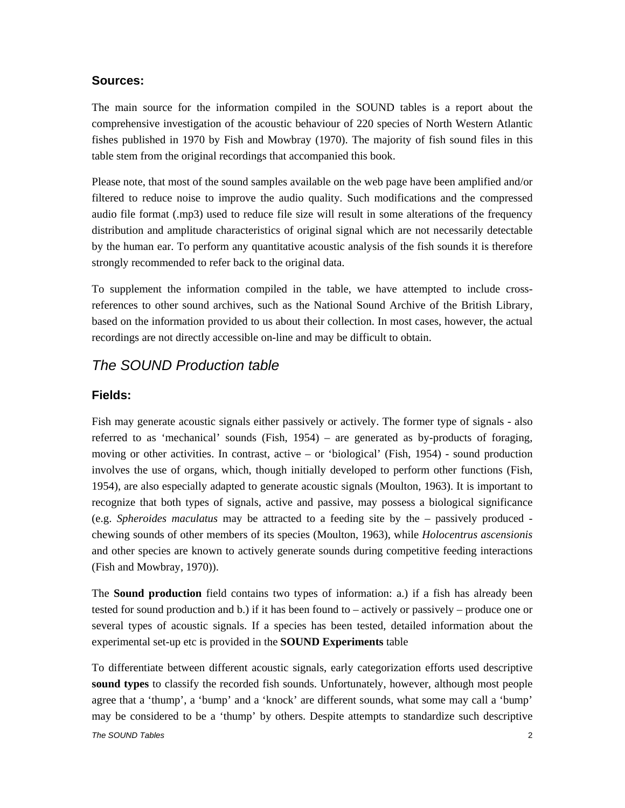## **Sources:**

The main source for the information compiled in the SOUND tables is a report about the comprehensive investigation of the acoustic behaviour of 220 species of North Western Atlantic fishes published in 1970 by Fish and Mowbray (1970). The majority of fish sound files in this table stem from the original recordings that accompanied this book.

Please note, that most of the sound samples available on the web page have been amplified and/or filtered to reduce noise to improve the audio quality. Such modifications and the compressed audio file format (.mp3) used to reduce file size will result in some alterations of the frequency distribution and amplitude characteristics of original signal which are not necessarily detectable by the human ear. To perform any quantitative acoustic analysis of the fish sounds it is therefore strongly recommended to refer back to the original data.

To supplement the information compiled in the table, we have attempted to include crossreferences to other sound archives, such as the National Sound Archive of the British Library, based on the information provided to us about their collection. In most cases, however, the actual recordings are not directly accessible on-line and may be difficult to obtain.

# *The SOUND Production table*

# **Fields:**

Fish may generate acoustic signals either passively or actively. The former type of signals - also referred to as 'mechanical' sounds (Fish, 1954) – are generated as by-products of foraging, moving or other activities. In contrast, active – or 'biological' (Fish, 1954) - sound production involves the use of organs, which, though initially developed to perform other functions (Fish, 1954), are also especially adapted to generate acoustic signals (Moulton, 1963). It is important to recognize that both types of signals, active and passive, may possess a biological significance (e.g. *Spheroides maculatus* may be attracted to a feeding site by the – passively produced chewing sounds of other members of its species (Moulton, 1963), while *Holocentrus ascensionis* and other species are known to actively generate sounds during competitive feeding interactions (Fish and Mowbray, 1970)).

The **Sound production** field contains two types of information: a.) if a fish has already been tested for sound production and b.) if it has been found to – actively or passively – produce one or several types of acoustic signals. If a species has been tested, detailed information about the experimental set-up etc is provided in the **SOUND Experiments** table

To differentiate between different acoustic signals, early categorization efforts used descriptive **sound types** to classify the recorded fish sounds. Unfortunately, however, although most people agree that a 'thump', a 'bump' and a 'knock' are different sounds, what some may call a 'bump' may be considered to be a 'thump' by others. Despite attempts to standardize such descriptive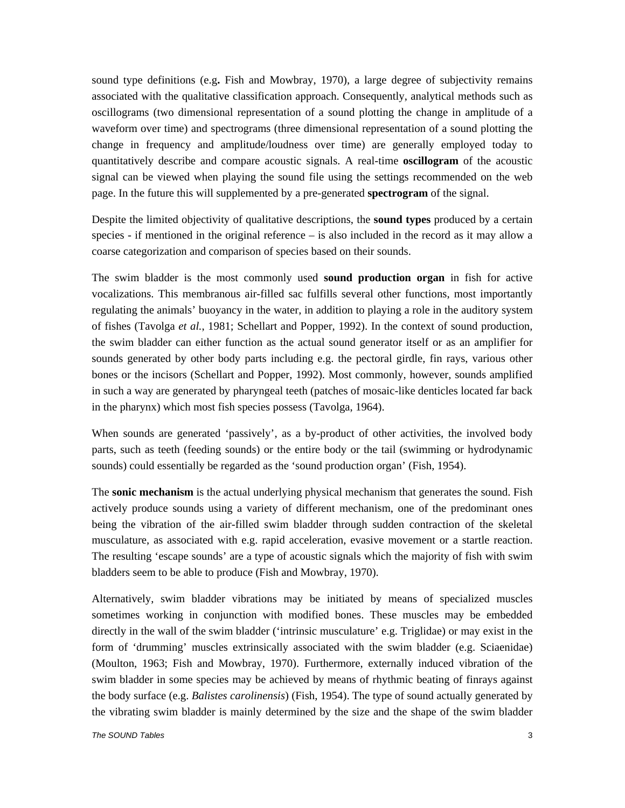sound type definitions (e.g**.** Fish and Mowbray, 1970), a large degree of subjectivity remains associated with the qualitative classification approach. Consequently, analytical methods such as oscillograms (two dimensional representation of a sound plotting the change in amplitude of a waveform over time) and spectrograms (three dimensional representation of a sound plotting the change in frequency and amplitude/loudness over time) are generally employed today to quantitatively describe and compare acoustic signals. A real-time **oscillogram** of the acoustic signal can be viewed when playing the sound file using the settings recommended on the web page. In the future this will supplemented by a pre-generated **spectrogram** of the signal.

Despite the limited objectivity of qualitative descriptions, the **sound types** produced by a certain species - if mentioned in the original reference – is also included in the record as it may allow a coarse categorization and comparison of species based on their sounds.

The swim bladder is the most commonly used **sound production organ** in fish for active vocalizations. This membranous air-filled sac fulfills several other functions, most importantly regulating the animals' buoyancy in the water, in addition to playing a role in the auditory system of fishes (Tavolga *et al.*, 1981; Schellart and Popper, 1992). In the context of sound production, the swim bladder can either function as the actual sound generator itself or as an amplifier for sounds generated by other body parts including e.g. the pectoral girdle, fin rays, various other bones or the incisors (Schellart and Popper, 1992). Most commonly, however, sounds amplified in such a way are generated by pharyngeal teeth (patches of mosaic-like denticles located far back in the pharynx) which most fish species possess (Tavolga, 1964).

When sounds are generated 'passively', as a by-product of other activities, the involved body parts, such as teeth (feeding sounds) or the entire body or the tail (swimming or hydrodynamic sounds) could essentially be regarded as the 'sound production organ' (Fish, 1954).

The **sonic mechanism** is the actual underlying physical mechanism that generates the sound. Fish actively produce sounds using a variety of different mechanism, one of the predominant ones being the vibration of the air-filled swim bladder through sudden contraction of the skeletal musculature, as associated with e.g. rapid acceleration, evasive movement or a startle reaction. The resulting 'escape sounds' are a type of acoustic signals which the majority of fish with swim bladders seem to be able to produce (Fish and Mowbray, 1970).

Alternatively, swim bladder vibrations may be initiated by means of specialized muscles sometimes working in conjunction with modified bones. These muscles may be embedded directly in the wall of the swim bladder ('intrinsic musculature' e.g. Triglidae) or may exist in the form of 'drumming' muscles extrinsically associated with the swim bladder (e.g. Sciaenidae) (Moulton, 1963; Fish and Mowbray, 1970). Furthermore, externally induced vibration of the swim bladder in some species may be achieved by means of rhythmic beating of finrays against the body surface (e.g. *Balistes carolinensis*) (Fish, 1954). The type of sound actually generated by the vibrating swim bladder is mainly determined by the size and the shape of the swim bladder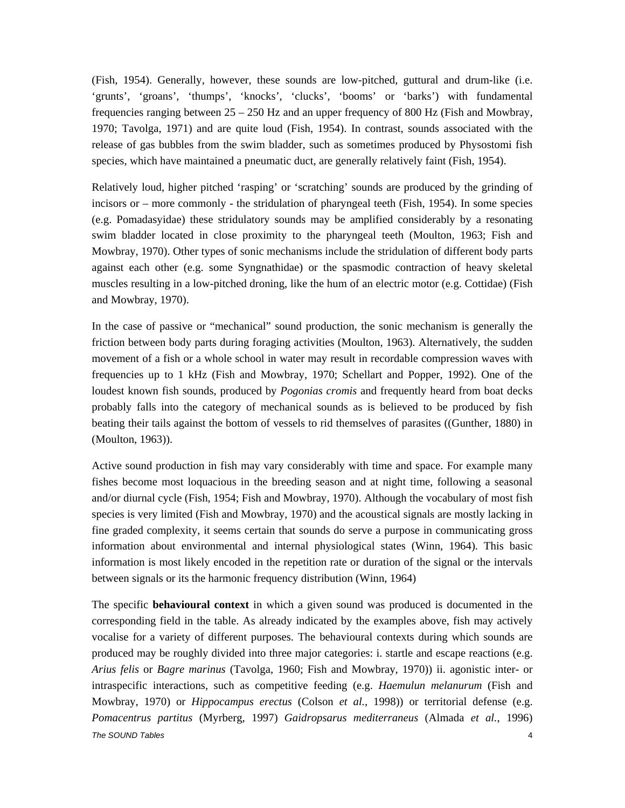(Fish, 1954). Generally, however, these sounds are low-pitched, guttural and drum-like (i.e. 'grunts', 'groans', 'thumps', 'knocks', 'clucks', 'booms' or 'barks') with fundamental frequencies ranging between  $25 - 250$  Hz and an upper frequency of 800 Hz (Fish and Mowbray, 1970; Tavolga, 1971) and are quite loud (Fish, 1954). In contrast, sounds associated with the release of gas bubbles from the swim bladder, such as sometimes produced by Physostomi fish species, which have maintained a pneumatic duct, are generally relatively faint (Fish, 1954).

Relatively loud, higher pitched 'rasping' or 'scratching' sounds are produced by the grinding of incisors or – more commonly - the stridulation of pharyngeal teeth (Fish, 1954). In some species (e.g. Pomadasyidae) these stridulatory sounds may be amplified considerably by a resonating swim bladder located in close proximity to the pharyngeal teeth (Moulton, 1963; Fish and Mowbray, 1970). Other types of sonic mechanisms include the stridulation of different body parts against each other (e.g. some Syngnathidae) or the spasmodic contraction of heavy skeletal muscles resulting in a low-pitched droning, like the hum of an electric motor (e.g. Cottidae) (Fish and Mowbray, 1970).

In the case of passive or "mechanical" sound production, the sonic mechanism is generally the friction between body parts during foraging activities (Moulton, 1963). Alternatively, the sudden movement of a fish or a whole school in water may result in recordable compression waves with frequencies up to 1 kHz (Fish and Mowbray, 1970; Schellart and Popper, 1992). One of the loudest known fish sounds, produced by *Pogonias cromis* and frequently heard from boat decks probably falls into the category of mechanical sounds as is believed to be produced by fish beating their tails against the bottom of vessels to rid themselves of parasites ((Gunther, 1880) in (Moulton, 1963)).

Active sound production in fish may vary considerably with time and space. For example many fishes become most loquacious in the breeding season and at night time, following a seasonal and/or diurnal cycle (Fish, 1954; Fish and Mowbray, 1970). Although the vocabulary of most fish species is very limited (Fish and Mowbray, 1970) and the acoustical signals are mostly lacking in fine graded complexity, it seems certain that sounds do serve a purpose in communicating gross information about environmental and internal physiological states (Winn, 1964). This basic information is most likely encoded in the repetition rate or duration of the signal or the intervals between signals or its the harmonic frequency distribution (Winn, 1964)

*The SOUND Tables* 4 The specific **behavioural context** in which a given sound was produced is documented in the corresponding field in the table. As already indicated by the examples above, fish may actively vocalise for a variety of different purposes. The behavioural contexts during which sounds are produced may be roughly divided into three major categories: i. startle and escape reactions (e.g. *Arius felis* or *Bagre marinus* (Tavolga, 1960; Fish and Mowbray, 1970)) ii. agonistic inter- or intraspecific interactions, such as competitive feeding (e.g. *Haemulun melanurum* (Fish and Mowbray, 1970) or *Hippocampus erectus* (Colson *et al.*, 1998)) or territorial defense (e.g. *Pomacentrus partitus* (Myrberg, 1997) *Gaidropsarus mediterraneus* (Almada *et al.*, 1996)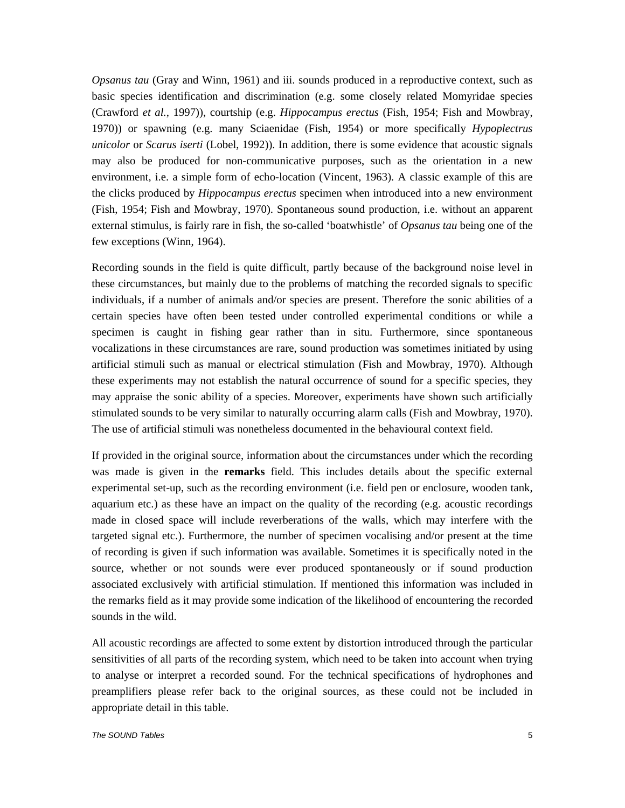*Opsanus tau* (Gray and Winn, 1961) and iii. sounds produced in a reproductive context, such as basic species identification and discrimination (e.g. some closely related Momyridae species (Crawford *et al.*, 1997)), courtship (e.g. *Hippocampus erectus* (Fish, 1954; Fish and Mowbray, 1970)) or spawning (e.g. many Sciaenidae (Fish, 1954) or more specifically *Hypoplectrus unicolor* or *Scarus iserti* (Lobel, 1992)). In addition, there is some evidence that acoustic signals may also be produced for non-communicative purposes, such as the orientation in a new environment, i.e. a simple form of echo-location (Vincent, 1963). A classic example of this are the clicks produced by *Hippocampus erectus* specimen when introduced into a new environment (Fish, 1954; Fish and Mowbray, 1970). Spontaneous sound production, i.e. without an apparent external stimulus, is fairly rare in fish, the so-called 'boatwhistle' of *Opsanus tau* being one of the few exceptions (Winn, 1964).

Recording sounds in the field is quite difficult, partly because of the background noise level in these circumstances, but mainly due to the problems of matching the recorded signals to specific individuals, if a number of animals and/or species are present. Therefore the sonic abilities of a certain species have often been tested under controlled experimental conditions or while a specimen is caught in fishing gear rather than in situ. Furthermore, since spontaneous vocalizations in these circumstances are rare, sound production was sometimes initiated by using artificial stimuli such as manual or electrical stimulation (Fish and Mowbray, 1970). Although these experiments may not establish the natural occurrence of sound for a specific species, they may appraise the sonic ability of a species. Moreover, experiments have shown such artificially stimulated sounds to be very similar to naturally occurring alarm calls (Fish and Mowbray, 1970). The use of artificial stimuli was nonetheless documented in the behavioural context field.

If provided in the original source, information about the circumstances under which the recording was made is given in the **remarks** field. This includes details about the specific external experimental set-up, such as the recording environment (i.e. field pen or enclosure, wooden tank, aquarium etc.) as these have an impact on the quality of the recording (e.g. acoustic recordings made in closed space will include reverberations of the walls, which may interfere with the targeted signal etc.). Furthermore, the number of specimen vocalising and/or present at the time of recording is given if such information was available. Sometimes it is specifically noted in the source, whether or not sounds were ever produced spontaneously or if sound production associated exclusively with artificial stimulation. If mentioned this information was included in the remarks field as it may provide some indication of the likelihood of encountering the recorded sounds in the wild.

All acoustic recordings are affected to some extent by distortion introduced through the particular sensitivities of all parts of the recording system, which need to be taken into account when trying to analyse or interpret a recorded sound. For the technical specifications of hydrophones and preamplifiers please refer back to the original sources, as these could not be included in appropriate detail in this table.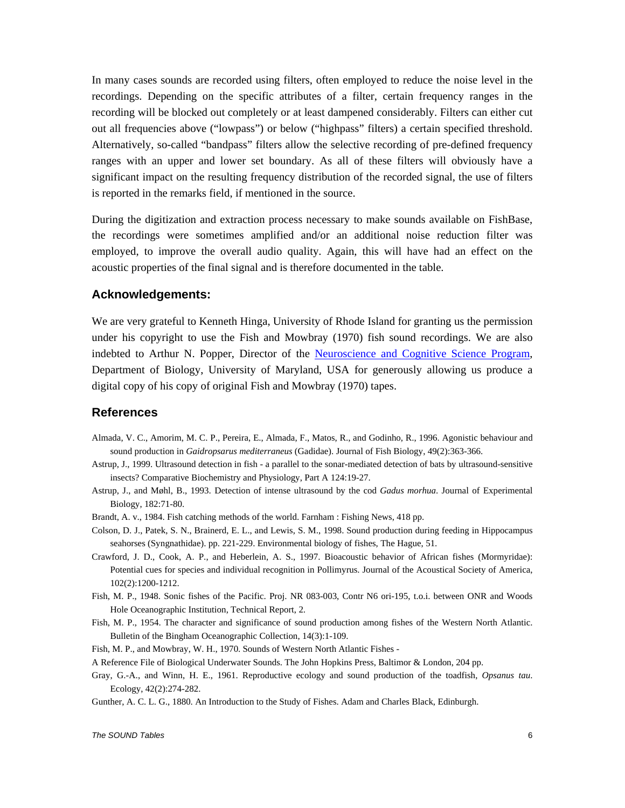In many cases sounds are recorded using filters, often employed to reduce the noise level in the recordings. Depending on the specific attributes of a filter, certain frequency ranges in the recording will be blocked out completely or at least dampened considerably. Filters can either cut out all frequencies above ("lowpass") or below ("highpass" filters) a certain specified threshold. Alternatively, so-called "bandpass" filters allow the selective recording of pre-defined frequency ranges with an upper and lower set boundary. As all of these filters will obviously have a significant impact on the resulting frequency distribution of the recorded signal, the use of filters is reported in the remarks field, if mentioned in the source.

During the digitization and extraction process necessary to make sounds available on FishBase, the recordings were sometimes amplified and/or an additional noise reduction filter was employed, to improve the overall audio quality. Again, this will have had an effect on the acoustic properties of the final signal and is therefore documented in the table.

### **Acknowledgements:**

We are very grateful to Kenneth Hinga, University of Rhode Island for granting us the permission under his copyright to use the Fish and Mowbray (1970) fish sound recordings. We are also indebted to Arthur N. Popper, Director of the Neuroscience and Cognitive Science Program, Department of Biology, University of Maryland, USA for generously allowing us produce a digital copy of his copy of original Fish and Mowbray (1970) tapes.

#### **References**

- Almada, V. C., Amorim, M. C. P., Pereira, E., Almada, F., Matos, R., and Godinho, R., 1996. Agonistic behaviour and sound production in *Gaidropsarus mediterraneus* (Gadidae). Journal of Fish Biology, 49(2):363-366.
- Astrup, J., 1999. Ultrasound detection in fish a parallel to the sonar-mediated detection of bats by ultrasound-sensitive insects? Comparative Biochemistry and Physiology, Part A 124:19-27.
- Astrup, J., and Møhl, B., 1993. Detection of intense ultrasound by the cod *Gadus morhua*. Journal of Experimental Biology, 182:71-80.
- Brandt, A. v., 1984. Fish catching methods of the world. Farnham : Fishing News, 418 pp.
- Colson, D. J., Patek, S. N., Brainerd, E. L., and Lewis, S. M., 1998. Sound production during feeding in Hippocampus seahorses (Syngnathidae). pp. 221-229. Environmental biology of fishes, The Hague, 51.
- Crawford, J. D., Cook, A. P., and Heberlein, A. S., 1997. Bioacoustic behavior of African fishes (Mormyridae): Potential cues for species and individual recognition in Pollimyrus. Journal of the Acoustical Society of America, 102(2):1200-1212.
- Fish, M. P., 1948. Sonic fishes of the Pacific. Proj. NR 083-003, Contr N6 ori-195, t.o.i. between ONR and Woods Hole Oceanographic Institution, Technical Report, 2.
- Fish, M. P., 1954. The character and significance of sound production among fishes of the Western North Atlantic. Bulletin of the Bingham Oceanographic Collection, 14(3):1-109.
- Fish, M. P., and Mowbray, W. H., 1970. Sounds of Western North Atlantic Fishes -
- A Reference File of Biological Underwater Sounds. The John Hopkins Press, Baltimor & London, 204 pp.
- Gray, G.-A., and Winn, H. E., 1961. Reproductive ecology and sound production of the toadfish, *Opsanus tau*. Ecology, 42(2):274-282.
- Gunther, A. C. L. G., 1880. An Introduction to the Study of Fishes. Adam and Charles Black, Edinburgh.